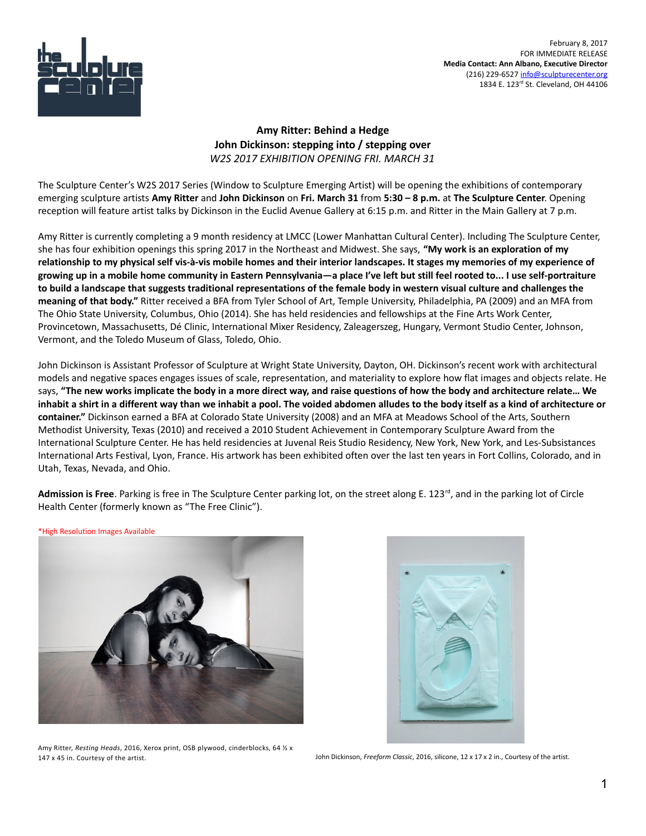

 February 8, 2017 FOR IMMEDIATE RELEASE **Media Contact: Ann Albano, Executive Director** (216) 229-6527 [info@sculpturecenter.org](mailto:info@sculpturecenter.org) 1834 E. 123rd St. Cleveland, OH 44106

## **Amy Ritter: Behind a Hedge John Dickinson: stepping into / stepping over** *W2S 2017 EXHIBITION OPENING FRI. MARCH 31*

The Sculpture Center's W2S 2017 Series (Window to Sculpture Emerging Artist) will be opening the exhibitions of contemporary emerging sculpture artists **Amy Ritter** and **John Dickinson** on **Fri. March 31** from **5:30 – 8 p.m.** at **The Sculpture Center**. Opening reception will feature artist talks by Dickinson in the Euclid Avenue Gallery at 6:15 p.m. and Ritter in the Main Gallery at 7 p.m.

Amy Ritter is currently completing a 9 month residency at LMCC (Lower Manhattan Cultural Center). Including The Sculpture Center, she has four exhibition openings this spring 2017 in the Northeast and Midwest. She says, **"My work is an exploration of my relationship to my physical self vis-à-vis mobile homes and their interior landscapes. It stages my memories of my experience of growing up in a mobile home community in Eastern Pennsylvania—a place I've left but still feel rooted to... I use self-portraiture to build a landscape that suggests traditional representations of the female body in western visual culture and challenges the meaning of that body."** Ritter received a BFA from Tyler School of Art, Temple University, Philadelphia, PA (2009) and an MFA from The Ohio State University, Columbus, Ohio (2014). She has held residencies and fellowships at the Fine Arts Work Center, Provincetown, Massachusetts, Dé Clinic, International Mixer Residency, Zaleagerszeg, Hungary, Vermont Studio Center, Johnson, Vermont, and the Toledo Museum of Glass, Toledo, Ohio.

John Dickinson is Assistant Professor of Sculpture at Wright State University, Dayton, OH. Dickinson's recent work with architectural models and negative spaces engages issues of scale, representation, and materiality to explore how flat images and objects relate. He says, **"The new works implicate the body in a more direct way, and raise questions of how the body and architecture relate… We inhabit a shirt in a different way than we inhabit a pool. The voided abdomen alludes to the body itself as a kind of architecture or container."** Dickinson earned a BFA at Colorado State University (2008) and an MFA at Meadows School of the Arts, Southern Methodist University, Texas (2010) and received a 2010 Student Achievement in Contemporary Sculpture Award from the International Sculpture Center. He has held residencies at Juvenal Reis Studio Residency, New York, New York, and Les-Subsistances International Arts Festival, Lyon, France. His artwork has been exhibited often over the last ten years in Fort Collins, Colorado, and in Utah, Texas, Nevada, and Ohio.

Admission is Free. Parking is free in The Sculpture Center parking lot, on the street along E. 123<sup>rd</sup>, and in the parking lot of Circle Health Center (formerly known as "The Free Clinic").

\*High Resolution Images Available





Amy Ritter, *Resting Heads*, 2016, Xerox print, OSB plywood, cinderblocks, 64 ½ x 147 x 45 in. Courtesy of the artist. John Dickinson, *Freeform Classic*, 2016, silicone, 12 x 17 x 2 in., Courtesy of the artist.